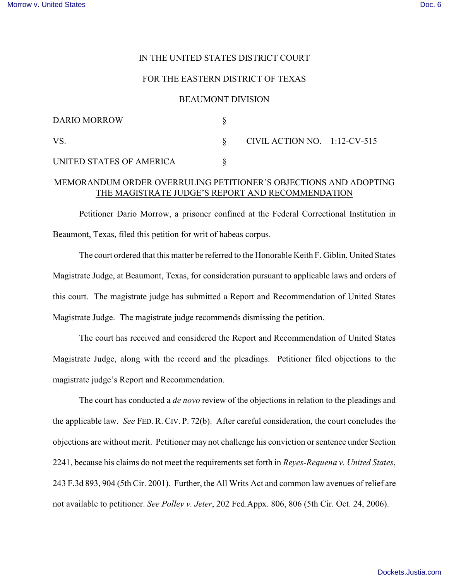## IN THE UNITED STATES DISTRICT COURT

#### FOR THE EASTERN DISTRICT OF TEXAS

### BEAUMONT DIVISION

| <b>DARIO MORROW</b>      |                                 |  |
|--------------------------|---------------------------------|--|
| VS.                      | CIVIL ACTION NO. $1:12$ -CV-515 |  |
| UNITED STATES OF AMERICA |                                 |  |

# MEMORANDUM ORDER OVERRULING PETITIONER'S OBJECTIONS AND ADOPTING THE MAGISTRATE JUDGE'S REPORT AND RECOMMENDATION

Petitioner Dario Morrow, a prisoner confined at the Federal Correctional Institution in Beaumont, Texas, filed this petition for writ of habeas corpus.

The court ordered that this matter be referred to the Honorable Keith F. Giblin, United States Magistrate Judge, at Beaumont, Texas, for consideration pursuant to applicable laws and orders of this court. The magistrate judge has submitted a Report and Recommendation of United States Magistrate Judge. The magistrate judge recommends dismissing the petition.

The court has received and considered the Report and Recommendation of United States Magistrate Judge, along with the record and the pleadings. Petitioner filed objections to the magistrate judge's Report and Recommendation.

The court has conducted a *de novo* review of the objections in relation to the pleadings and the applicable law. *See* FED. R. CIV. P. 72(b). After careful consideration, the court concludes the objections are without merit. Petitioner may not challenge his conviction or sentence under Section 2241, because his claims do not meet the requirements set forth in *Reyes-Requena v. United States*, 243 F.3d 893, 904 (5th Cir. 2001). Further, the All Writs Act and common law avenues of relief are not available to petitioner. *See Polley v. Jeter*, 202 Fed.Appx. 806, 806 (5th Cir. Oct. 24, 2006).